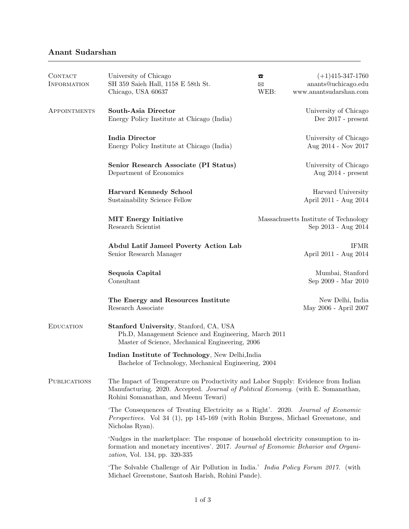## Anant Sudarshan

| <b>CONTACT</b><br><b>INFORMATION</b> | University of Chicago<br>SH 359 Saieh Hall, 1158 E 58th St.<br>Chicago, USA 60637                                                                                                                                    | B<br>⊠<br>WEB: | $(+1)$ 415-347-1760<br>anants@uchicago.edu<br>www.anantsudarshan.com |  |
|--------------------------------------|----------------------------------------------------------------------------------------------------------------------------------------------------------------------------------------------------------------------|----------------|----------------------------------------------------------------------|--|
| APPOINTMENTS                         | South-Asia Director<br>Energy Policy Institute at Chicago (India)                                                                                                                                                    |                | University of Chicago<br>Dec $2017$ - present                        |  |
|                                      | <b>India Director</b><br>Energy Policy Institute at Chicago (India)                                                                                                                                                  |                | University of Chicago<br>Aug 2014 - Nov 2017                         |  |
|                                      | Senior Research Associate (PI Status)<br>Department of Economics                                                                                                                                                     |                | University of Chicago<br>Aug $2014$ - present                        |  |
|                                      | <b>Harvard Kennedy School</b><br>Sustainability Science Fellow                                                                                                                                                       |                | Harvard University<br>April 2011 - Aug 2014                          |  |
|                                      | <b>MIT Energy Initiative</b><br>Research Scientist                                                                                                                                                                   |                | Massachusetts Institute of Technology<br>Sep 2013 - Aug 2014         |  |
|                                      | <b>Abdul Latif Jameel Poverty Action Lab</b><br>Senior Research Manager                                                                                                                                              |                | <b>IFMR</b><br>April 2011 - Aug 2014                                 |  |
|                                      | Sequoia Capital<br>Consultant                                                                                                                                                                                        |                | Mumbai, Stanford<br>Sep 2009 - Mar 2010                              |  |
|                                      | The Energy and Resources Institute<br>Research Associate                                                                                                                                                             |                | New Delhi, India<br>May 2006 - April 2007                            |  |
| <b>EDUCATION</b>                     | Stanford University, Stanford, CA, USA<br>Ph.D, Management Science and Engineering, March 2011<br>Master of Science, Mechanical Engineering, 2006                                                                    |                |                                                                      |  |
|                                      | Indian Institute of Technology, New Delhi, India<br>Bachelor of Technology, Mechanical Engineering, 2004                                                                                                             |                |                                                                      |  |
| <b>PUBLICATIONS</b>                  | The Impact of Temperature on Productivity and Labor Supply: Evidence from Indian<br>Manufacturing. 2020. Accepted. Journal of Political Economy. (with E. Somanathan,<br>Rohini Somanathan, and Meenu Tewari)        |                |                                                                      |  |
|                                      | The Consequences of Treating Electricity as a Right'. 2020. Journal of Economic<br><i>Perspectives.</i> Vol 34 (1), pp 145-169 (with Robin Burgess, Michael Greenstone, and<br>Nicholas Ryan).                       |                |                                                                      |  |
|                                      | 'Nudges in the market place: The response of household electricity consumption to in-<br>formation and monetary incentives'. 2017. Journal of Economic Behavior and Organi-<br><i>zation</i> , Vol. 134, pp. 320-335 |                |                                                                      |  |
|                                      | 'The Solvable Challenge of Air Pollution in India.' India Policy Forum 2017. (with<br>Michael Greenstone, Santosh Harish, Rohini Pande).                                                                             |                |                                                                      |  |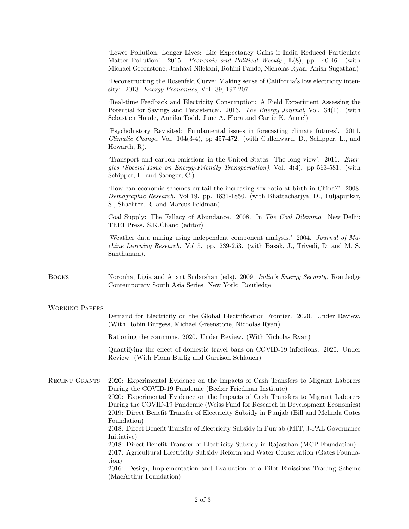|                       | 'Lower Pollution, Longer Lives: Life Expectancy Gains if India Reduced Particulate<br>Matter Pollution'. 2015. <i>Economic and Political Weekly.</i> , L(8), pp. 40-46. (with<br>Michael Greenstone, Janhavi Nilekani, Rohini Pande, Nicholas Ryan, Anish Sugathan)                                                                                                                                                                                                                                                                                                                                                                                                                                                                                                                                                                     |
|-----------------------|-----------------------------------------------------------------------------------------------------------------------------------------------------------------------------------------------------------------------------------------------------------------------------------------------------------------------------------------------------------------------------------------------------------------------------------------------------------------------------------------------------------------------------------------------------------------------------------------------------------------------------------------------------------------------------------------------------------------------------------------------------------------------------------------------------------------------------------------|
|                       | Deconstructing the Rosenfeld Curve: Making sense of California's low electricity inten-<br>sity'. 2013. Energy Economics, Vol. 39, 197-207.                                                                                                                                                                                                                                                                                                                                                                                                                                                                                                                                                                                                                                                                                             |
|                       | 'Real-time Feedback and Electricity Consumption: A Field Experiment Assessing the<br>Potential for Savings and Persistence'. 2013. The Energy Journal, Vol. 34(1). (with<br>Sebastien Houde, Annika Todd, June A. Flora and Carrie K. Armel)                                                                                                                                                                                                                                                                                                                                                                                                                                                                                                                                                                                            |
|                       | 'Psychohistory Revisited: Fundamental issues in forecasting climate futures'. 2011.<br><i>Climatic Change</i> , Vol. 104(3-4), pp 457-472. (with Cullenward, D., Schipper, L., and<br>Howarth, $R$ ).                                                                                                                                                                                                                                                                                                                                                                                                                                                                                                                                                                                                                                   |
|                       | Transport and carbon emissions in the United States: The long view'. 2011. <i>Ener-</i><br>gies (Special Issue on Energy-Friendly Transportation), Vol. 4(4). pp 563-581. (with<br>Schipper, L. and Saenger, C.).                                                                                                                                                                                                                                                                                                                                                                                                                                                                                                                                                                                                                       |
|                       | 'How can economic schemes curtail the increasing sex ratio at birth in China?'. 2008.<br>Demographic Research. Vol 19. pp. 1831-1850. (with Bhattacharjya, D., Tuljapurkar,<br>S., Shachter, R. and Marcus Feldman).                                                                                                                                                                                                                                                                                                                                                                                                                                                                                                                                                                                                                    |
|                       | Coal Supply: The Fallacy of Abundance. 2008. In The Coal Dilemma. New Delhi:<br>TERI Press. S.K.Chand (editor)                                                                                                                                                                                                                                                                                                                                                                                                                                                                                                                                                                                                                                                                                                                          |
|                       | 'Weather data mining using independent component analysis.' 2004. Journal of Ma-<br>chine Learning Research. Vol 5. pp. 239-253. (with Basak, J., Trivedi, D. and M. S.<br>Santhanam).                                                                                                                                                                                                                                                                                                                                                                                                                                                                                                                                                                                                                                                  |
| <b>BOOKS</b>          | Noronha, Ligia and Anant Sudarshan (eds). 2009. <i>India's Energy Security</i> . Routledge<br>Contemporary South Asia Series. New York: Routledge                                                                                                                                                                                                                                                                                                                                                                                                                                                                                                                                                                                                                                                                                       |
| <b>WORKING PAPERS</b> | Demand for Electricity on the Global Electrification Frontier. 2020. Under Review.<br>(With Robin Burgess, Michael Greenstone, Nicholas Ryan).                                                                                                                                                                                                                                                                                                                                                                                                                                                                                                                                                                                                                                                                                          |
|                       | Rationing the commons. 2020. Under Review. (With Nicholas Ryan)                                                                                                                                                                                                                                                                                                                                                                                                                                                                                                                                                                                                                                                                                                                                                                         |
|                       | Quantifying the effect of domestic travel bans on COVID-19 infections. 2020. Under<br>Review. (With Fiona Burlig and Garrison Schlauch)                                                                                                                                                                                                                                                                                                                                                                                                                                                                                                                                                                                                                                                                                                 |
| RECENT GRANTS         | 2020: Experimental Evidence on the Impacts of Cash Transfers to Migrant Laborers<br>During the COVID-19 Pandemic (Becker Friedman Institute)<br>2020: Experimental Evidence on the Impacts of Cash Transfers to Migrant Laborers<br>During the COVID-19 Pandemic (Weiss Fund for Research in Development Economics)<br>2019: Direct Benefit Transfer of Electricity Subsidy in Punjab (Bill and Melinda Gates<br>Foundation)<br>2018: Direct Benefit Transfer of Electricity Subsidy in Punjab (MIT, J-PAL Governance<br>Initiative)<br>2018: Direct Benefit Transfer of Electricity Subsidy in Rajasthan (MCP Foundation)<br>2017: Agricultural Electricity Subsidy Reform and Water Conservation (Gates Founda-<br>tion)<br>2016: Design, Implementation and Evaluation of a Pilot Emissions Trading Scheme<br>(MacArthur Foundation) |

2 of 3